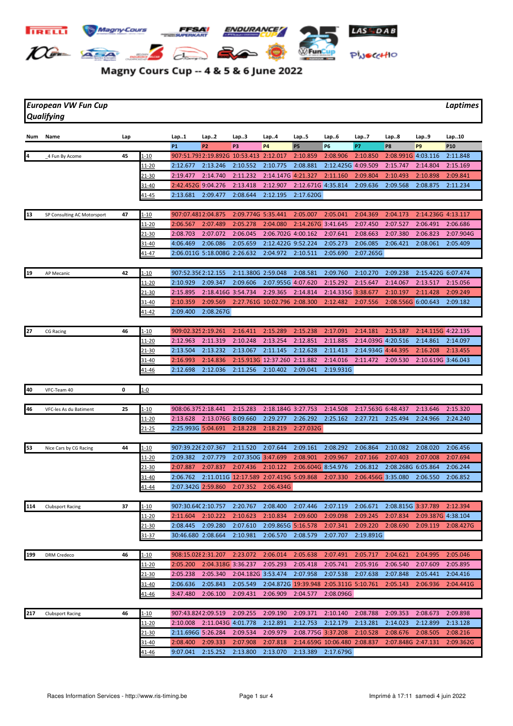

## Magny Cours Cup -- 4 & 5 & 6 June 2022

*European VW Fun Cup Laptimes Qualifying*

| Num | Name                        | Lap |               | Lap1                | Lap2                                   | Lap3               | Lap4                                   | Lap5                                   | Lap6                         | Lap7               | Lap8               | Lap9                        | Lap10           |
|-----|-----------------------------|-----|---------------|---------------------|----------------------------------------|--------------------|----------------------------------------|----------------------------------------|------------------------------|--------------------|--------------------|-----------------------------|-----------------|
|     |                             |     |               | <b>P1</b>           | P <sub>2</sub>                         | P3                 | <b>P4</b>                              | <b>P5</b>                              | P6                           | P7                 | P8                 | P <sub>9</sub>              | P <sub>10</sub> |
| 4   | 4 Fun By Acome              | 45  | 1-10          |                     | 907:51.7932:19.892G 10:53.413 2:12.017 |                    |                                        | 2:10.859                               | 2:08.906                     | 2:10.850           | 2:08.991G 4:03.116 |                             | 2:11.848        |
|     |                             |     | <u>11-20</u>  | 2:12.677            | 2:13.246                               | 2:10.552           | 2:10.775                               | 2:08.881                               | 2:12.425G 4:09.509           |                    | 2:15.747           | 2:14.804                    | 2:15.169        |
|     |                             |     | 21-30         | 2:19.477            | 2:14.740                               | 2:11.232           | 2:14.147G 4:21.327                     |                                        | 2:11.160                     | 2:09.804           | 2:10.493           | 2:10.898                    | 2:09.841        |
|     |                             |     | $31 - 40$     | 2:42.452G 9:04.276  |                                        | 2:13.418           | 2:12.907                               | 2:12.671G 4:35.814                     |                              | 2:09.636           | 2:09.568           | 2:08.875                    | 2:11.234        |
|     |                             |     | <u>41-45</u>  | 2:13.681            | 2:09.477                               | 2:08.644           | 2:12.195                               | 2:17.620G                              |                              |                    |                    |                             |                 |
|     |                             |     |               |                     |                                        |                    |                                        |                                        |                              |                    |                    |                             |                 |
| 13  | SP Consulting AC Motorsport | 47  | 1-10          | 907:07.4812:04.875  |                                        | 2:09.774G 5:35.441 |                                        | 2:05.007                               | 2:05.041                     | 2:04.369           | 2:04.173           | 2:14.236G 4:13.117          |                 |
|     |                             |     | 11-20         | 2:06.567            | 2:07.489                               | 2:05.278           | 2:04.080                               | 2:14.267G 3:41.645                     |                              | 2:07.450           | 2:07.527           | 2:06.491                    | 2:06.686        |
|     |                             |     | 21-30         | 2:08.703            | 2:07.072                               | 2:06.045           | 2:06.702G 4:00.162                     |                                        | 2:07.641                     | 2:08.663           | 2:07.380           | 2:06.823                    | 2:07.904G       |
|     |                             |     | 31-40         | 4:06.469            | 2:06.086                               | 2:05.659           | 2:12.422G 9:52.224                     |                                        | 2:05.273                     | 2:06.085           | 2:06.421           | 2:08.061                    | 2:05.409        |
|     |                             |     | 41-47         |                     | 2:06.011G 5:18.008G 2:26.632           |                    | 2:04.972                               | 2:10.511                               | 2:05.690                     | 2:07.265G          |                    |                             |                 |
|     |                             |     |               |                     |                                        |                    |                                        |                                        |                              |                    |                    |                             |                 |
| 19  | <b>AP Mecanic</b>           | 42  | 1-10          | 907:52.356 2:12.155 |                                        | 2:11.380G 2:59.048 |                                        | 2:08.581                               | 2:09.760                     | 2:10.270           | 2:09.238           | 2:15.422G 6:07.474          |                 |
|     |                             |     | <u> 11-20</u> | 2:10.929            | 2:09.347                               | 2:09.606           | 2:07.955G 4:07.620                     |                                        | 2:15.292                     | 2:15.647           | 2:14.067           | 2:13.517                    | 2:15.056        |
|     |                             |     | $21 - 30$     | 2:15.895            | 2:18.416G 3:54.734                     |                    | 2:29.365                               | 2:14.814                               | 2:14.335G 3:38.677           |                    | 2:10.197           | 2:11.428                    | 2:09.249        |
|     |                             |     | $31 - 40$     | 2:10.359            | 2:09.569                               |                    | 2:27.761G 10:02.796 2:08.300           |                                        | 2:12.482                     | 2:07.556           | 2:08.556G 6:00.643 |                             | 2:09.182        |
|     |                             |     | <u>41-42</u>  | 2:09.400            | 2:08.267G                              |                    |                                        |                                        |                              |                    |                    |                             |                 |
|     |                             |     |               |                     |                                        |                    |                                        |                                        |                              |                    |                    |                             |                 |
| 27  | <b>CG Racing</b>            | 46  | 1-10          | 909:02.325 2:19.261 |                                        | 2:16.411           | 2:15.289                               | 2:15.238                               | 2:17.091                     | 2:14.181           | 2:15.187           | 2:14.115G 4:22.135          |                 |
|     |                             |     | 11-20         | 2:12.963            | 2:11.319                               | 2:10.248           | 2:13.254                               | 2:12.851                               | 2:11.885                     | 2:14.039G 4:20.516 |                    | 2:14.861                    | 2:14.097        |
|     |                             |     | 21-30         | 2:13.504            | 2:13.232                               | 2:13.067           | 2:11.145                               | 2:12.628                               | 2:11.413                     | 2:14.934G 4:44.395 |                    | 2:16.208                    | 2:13.455        |
|     |                             |     | 31-40         | 2:16.993            | 2:14.836                               |                    | 2:15.913G 12:37.260 2:11.882           |                                        | 2:14.016                     | 2:11.472           | 2:09.530           | 2:10.619G 3:46.043          |                 |
|     |                             |     | 41-46         | 2:12.698            | 2:12.036                               | 2:11.256           | 2:10.402                               | 2:09.041                               | 2:19.931G                    |                    |                    |                             |                 |
|     |                             |     |               |                     |                                        |                    |                                        |                                        |                              |                    |                    |                             |                 |
| 40  | VFC-Team 40                 | 0   | $1 - 0$       |                     |                                        |                    |                                        |                                        |                              |                    |                    |                             |                 |
|     |                             |     |               |                     |                                        |                    |                                        |                                        |                              |                    |                    |                             |                 |
| 46  | VFC-les As du Batiment      | 25  | <u> 1-10</u>  | 908:06.375 2:18.441 |                                        | 2:15.283           | 2:18.184G 3:27.753                     |                                        | 2:14.508                     | 2:17.563G 6:48.437 |                    | 2:13.646                    | 2:15.320        |
|     |                             |     | <u> 11-20</u> | 2:13.628            | 2:13.076G 8:09.660                     |                    | 2:29.277                               | 2:26.292                               | 2:25.162                     | 2:27.721           | 2:25.494           | 2:24.966                    | 2:24.240        |
|     |                             |     | $21 - 25$     | 2:25.993G 5:04.691  |                                        | 2:18.228           | 2:18.219                               | 2:27.032G                              |                              |                    |                    |                             |                 |
|     |                             |     |               |                     |                                        |                    |                                        |                                        |                              |                    |                    |                             |                 |
| 53  | Nice Cars by CG Racing      | 44  | $1 - 10$      | 907:39.226 2:07.367 |                                        | 2:11.520           | 2:07.644                               | 2:09.161                               | 2:08.292                     | 2:06.864           | 2:10.082           | 2:08.020                    | 2:06.456        |
|     |                             |     | 11-20         | 2:09.382            | 2:07.779                               | 2:07.350G 3:47.699 |                                        | 2:08.901                               | 2:09.967                     | 2:07.166           | 2:07.403           | 2:07.008                    | 2:07.694        |
|     |                             |     | 21-30         | 2:07.887            | 2:07.837                               | 2:07.436           | 2:10.122                               | 2:06.604G 8:54.976                     |                              | 2:06.812           | 2:08.268G 6:05.864 |                             | 2:06.244        |
|     |                             |     | 31-40         | 2:06.762            |                                        |                    | 2:11.011G 12:17.589 2:07.419G 5:09.868 |                                        | 2:07.330                     | 2:06.456G 3:35.080 |                    | 2:06.550                    | 2:06.852        |
|     |                             |     | 41-44         | 2:07.342G 2:59.860  |                                        | 2:07.352           | 2:06.434G                              |                                        |                              |                    |                    |                             |                 |
|     |                             |     |               |                     |                                        |                    |                                        |                                        |                              |                    |                    |                             |                 |
| 114 | <b>Clubsport Racing</b>     | 37  | <u>1-10</u>   | 907:30.640 2:10.757 |                                        | 2:20.767           | 2:08.400                               | 2:07.446                               | 2:07.119                     | 2:06.671           | 2:08.815G 3:37.789 |                             | 2:12.394        |
|     |                             |     | $11 - 20$     |                     | $2:11.604$ $2:10.222$ $2:10.623$       |                    | 2:10.834                               | 2:09.600                               | 2:09.098                     | 2:09.245           |                    | 2:07.834 2:09.387G 4:38.104 |                 |
|     |                             |     | $21 - 30$     | 2:08.445            | 2:09.280                               | 2:07.610           | 2:09.865G 5:16.578                     |                                        | 2:07.341                     |                    | 2:09.220 2:08.690  | 2:09.119                    | 2:08.427G       |
|     |                             |     | 31-37         | 30:46.680 2:08.664  |                                        | 2:10.981           | 2:06.570                               | 2:08.579                               | 2:07.707                     | 2:19.891G          |                    |                             |                 |
|     |                             |     |               |                     |                                        |                    |                                        |                                        |                              |                    |                    |                             |                 |
| 199 | <b>DRM Credeco</b>          | 46  | $1 - 10$      | 908:15.028 2:31.207 |                                        | 2:23.072           | 2:06.014                               | 2:05.638                               | 2:07.491                     | 2:05.717           | 2:04.621           | 2:04.995                    | 2:05.046        |
|     |                             |     | 11-20         | 2:05.200            | 2:04.318G 3:36.237                     |                    | 2:05.293                               | 2:05.418                               | 2:05.741                     | 2:05.916           | 2:06.540           | 2:07.609                    | 2:05.895        |
|     |                             |     | 21-30         | 2:05.238            | 2:05.340                               | 2:04.182G 3:53.474 |                                        | 2:07.958                               | 2:07.538                     | 2:07.638           | 2:07.848           | 2:05.441                    | 2:04.416        |
|     |                             |     | 31-40         | 2:06.636            | 2:05.843                               | 2:05.549           |                                        | 2:04.872G 19:39.948 2:05.311G 5:10.761 |                              |                    | 2:05.143           | 2:06.936                    | 2:04.441G       |
|     |                             |     | $41 - 46$     | 3:47.480            | 2:06.100                               | 2:09.431           | 2:06.909                               | 2:04.577                               | 2:08.096G                    |                    |                    |                             |                 |
|     |                             |     |               |                     |                                        |                    |                                        |                                        |                              |                    |                    |                             |                 |
| 217 | <b>Clubsport Racing</b>     | 46  | $1 - 10$      | 907:43.8242:09.519  |                                        | 2:09.255           | 2:09.190                               | 2:09.371                               | 2:10.140                     | 2:08.788           | 2:09.353           | 2:08.673                    | 2:09.898        |
|     |                             |     | 11-20         | 2:10.008            | 2:11.043G 4:01.778                     |                    | 2:12.891                               | 2:12.753                               | 2:12.179                     | 2:13.281           | 2:14.023           | 2:12.899                    | 2:13.128        |
|     |                             |     | 21-30         | 2:11.696G 5:26.284  |                                        | 2:09.534           | 2:09.979                               | 2:08.775G 3:37.208                     |                              | 2:10.528           | 2:08.676           | 2:08.505                    | 2:08.216        |
|     |                             |     | 31-40         | 2:08.400            | 2:09.333                               | 2:07.908           | 2:07.818                               |                                        | 2:14.659G 10:06.480 2:08.837 |                    | 2:07.848G 2:47.131 |                             | 2:09.362G       |
|     |                             |     | $41 - 46$     | 9:07.041            | 2:15.252                               | 2:13.800           | 2:13.070                               | 2:13.389                               | 2:17.679G                    |                    |                    |                             |                 |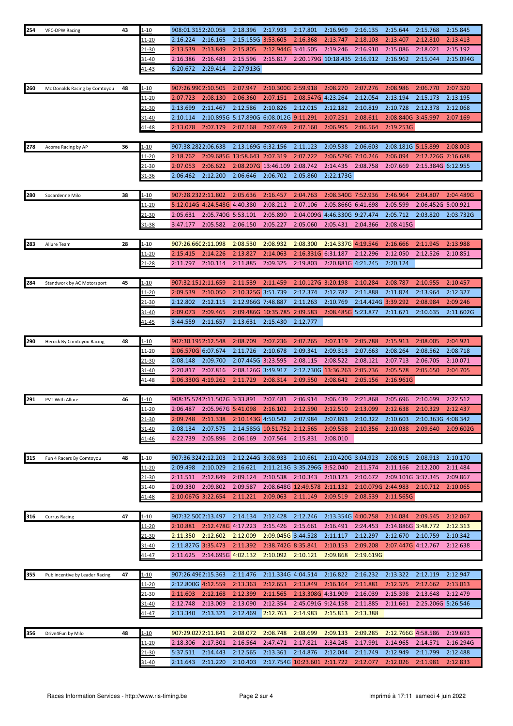| 254 | <b>VFC-DPW Racing</b>          | 43 | 1-10          | 908:01.315 2:20.058          |                              | 2:18.396                               | 2:17.933                     | 2:17.801                     | 2:16.969                     | 2:16.135           | 2:15.644           | 2:15.768           | 2:15.845  |
|-----|--------------------------------|----|---------------|------------------------------|------------------------------|----------------------------------------|------------------------------|------------------------------|------------------------------|--------------------|--------------------|--------------------|-----------|
|     |                                |    | 11-20         | 2:16.224                     | 2:16.165                     | 2:15.155G 3:53.605                     |                              | 2:16.368                     | 2:13.747                     | 2:18.103           | 2:13.407           | 2:12.810           | 2:13.413  |
|     |                                |    | 21-30         | 2:13.539                     | 2:13.849                     | 2:15.805                               | 2:12.944G 3:41.505           |                              | 2:19.246                     | 2:16.910           | 2:15.086           | 2:18.021           | 2:15.192  |
|     |                                |    | 31-40         | 2:16.386                     | 2:16.483                     | 2:15.596                               | 2:15.817                     |                              | 2:20.179G 10:18.435 2:16.912 |                    | 2:16.962           | 2:15.044           | 2:15.094G |
|     |                                |    | <u>41-43</u>  | 6:20.672                     | 2:29.414                     | 2:27.913G                              |                              |                              |                              |                    |                    |                    |           |
|     |                                |    |               |                              |                              |                                        |                              |                              |                              |                    |                    |                    |           |
| 260 | Mc Donalds Racing by Comtoyou  | 48 | <u>1-10</u>   | 907:26.990 2:10.505          |                              | 2:07.947                               | 2:10.300G 2:59.918           |                              | 2:08.270                     | 2:07.276           | 2:08.986           | 2:06.770           | 2:07.320  |
|     |                                |    | <u> 11-20</u> | 2:07.723                     | 2:08.130                     | 2:06.360                               | 2:07.151                     | 2:08.547G 4:23.264           |                              | 2:12.054           | 2:13.194           | 2:15.173           | 2:13.195  |
|     |                                |    |               |                              |                              |                                        |                              |                              |                              |                    |                    |                    |           |
|     |                                |    | 21-30         | 2:13.699                     | 2:11.467                     | 2:12.586                               | 2:10.826                     | 2:12.015                     | 2:12.182                     | 2:10.819           | 2:10.728           | 2:12.378           | 2:12.068  |
|     |                                |    | 31-40         | 2:10.114                     |                              | 2:10.895G 5:17.890G 6:08.012G 9:11.291 |                              |                              | 2:07.251                     | 2:08.611           | 2:08.840G 3:45.997 |                    | 2:07.169  |
|     |                                |    | 41-48         | 2:13.078                     | 2:07.179                     | 2:07.168                               | 2:07.469                     | 2:07.160                     | 2:06.995                     | 2:06.564           | 2:19.253G          |                    |           |
|     |                                |    |               |                              |                              |                                        |                              |                              |                              |                    |                    |                    |           |
| 278 | Acome Racing by AP             | 36 | $1 - 10$      | 907:38.2822:06.638           |                              | 2:13.169G 6:32.156                     |                              | 2:11.123                     | 2:09.538                     | 2:06.603           | 2:08.181G 5:15.899 |                    | 2:08.003  |
|     |                                |    | 11-20         | 2:18.762                     |                              | 2:09.685G 13:58.643 2:07.319           |                              | 2:07.722                     | 2:06.529G 7:10.246           |                    | 2:06.094           | 2:12.226G 7:16.688 |           |
|     |                                |    | 21-30         | 2:07.053                     | 2:06.622                     |                                        | 2:08.207G 13:46.109 2:08.742 |                              | 2:14.435                     | 2:08.758           | 2:07.669           | 2:15.384G 6:12.955 |           |
|     |                                |    | 31-36         | 2:06.462                     | 2:12.200                     | 2:06.646                               | 2:06.702                     | 2:05.860                     | 2:22.173G                    |                    |                    |                    |           |
|     |                                |    |               |                              |                              |                                        |                              |                              |                              |                    |                    |                    |           |
| 280 | Socardenne Milo                | 38 | $1 - 10$      | 907:28.2322:11.802           |                              | 2:05.636                               | 2:16.457                     | 2:04.763                     | 2:08.340G 7:52.936           |                    | 2:46.964           | 2:04.807           | 2:04.489G |
|     |                                |    | $11 - 20$     | 5:12.014G 4:24.548G 4:40.380 |                              |                                        | 2:08.212                     | 2:07.106                     | 2:05.866G 6:41.698           |                    | 2:05.599           | 2:06.452G 5:00.921 |           |
|     |                                |    | $21 - 30$     | 2:05.631                     | 2:05.740G 5:53.101           |                                        | 2:05.890                     | 2:04.009G                    | 4:46.330G 9:27.474           |                    | 2:05.712           | 2:03.820           | 2:03.732G |
|     |                                |    | 31-38         | 3:47.177                     | 2:05.582                     | 2:06.150                               | 2:05.227                     | 2:05.060                     | 2:05.431                     | 2:04.366           | 2:08.415G          |                    |           |
|     |                                |    |               |                              |                              |                                        |                              |                              |                              |                    |                    |                    |           |
| 283 | Allure Team                    | 28 | $1 - 10$      | 907:26.660 2:11.098          |                              | 2:08.530                               | 2:08.932                     | 2:08.300                     | 2:14.337G 4:19.546           |                    | 2:16.666           | 2:11.945           | 2:13.988  |
|     |                                |    | 11-20         | 2:15.415                     | 2:14.226                     | 2:13.827                               | 2:14.063                     | 2:16.331G 6:31.187           |                              | 2:12.296           | 2:12.050           | 2:12.526           | 2:10.851  |
|     |                                |    | 21-28         | 2:11.797                     | 2:10.114                     | 2:11.885                               | 2:09.325                     | 2:19.803                     | 2:20.881G 4:21.245           |                    | 2:20.124           |                    |           |
|     |                                |    |               |                              |                              |                                        |                              |                              |                              |                    |                    |                    |           |
| 284 | Standwork by AC Motorsport     | 45 | $1 - 10$      | 907:32.1512:11.659           |                              | 2:11.539                               | 2:11.459                     | 2:10.127G 3:20.198           |                              | 2:10.284           | 2:08.787           | 2:10.955           | 2:10.457  |
|     |                                |    | <u> 11-20</u> | 2:09.539                     | 2:10.050                     | 2:10.325G 3:51.739                     |                              | 2:12.374                     | 2:12.782                     | 2:11.888           | 2:11.874           | 2:13.964           | 2:12.327  |
|     |                                |    | 21-30         | 2:12.802                     | 2:12.115                     | 2:12.966G 7:48.887                     |                              | 2:11.263                     | 2:10.769                     | 2:14.424G 3:39.292 |                    | 2:08.984           | 2:09.246  |
|     |                                |    |               |                              |                              |                                        |                              |                              |                              |                    |                    |                    |           |
|     |                                |    | $31 - 40$     | 2:09.073                     | 2:09.465                     |                                        | 2:09.486G 10:35.785          | 2:09.583                     | 2:08.485G 5:23.877           |                    | 2:11.671           | 2:10.635           | 2:11.602G |
|     |                                |    | <u>41-45</u>  | 3:44.559                     | 2:11.657                     | 2:13.631                               | 2:15.430                     | 2:12.777                     |                              |                    |                    |                    |           |
|     |                                |    |               |                              |                              |                                        |                              |                              |                              |                    |                    |                    |           |
| 290 | Herock By Comtoyou Racing      | 48 | l-10          | 907:30.195 2:12.548          |                              | 2:08.709                               | 2:07.236                     | 2:07.265                     | 2:07.119                     | 2:05.788           | 2:15.913           | 2:08.005           | 2:04.921  |
|     |                                |    | <u> 11-20</u> | 2:06.570G 6:07.674           |                              | 2:11.726                               | 2:10.678                     | 2:09.341                     | 2:09.313                     | 2:07.663           | 2:08.264           | 2:08.562           | 2:08.718  |
|     |                                |    | 21-30         | 2:08.148                     | 2:09.700                     | 2:07.445G 3:23.595                     |                              | 2:08.115                     | 2:08.522                     | 2:08.121           | 2:07.713           | 2:06.705           | 2:10.071  |
|     |                                |    | 31-40         | 2:20.817                     | 2:07.816                     | 2:08.126G 3:49.917                     |                              |                              | 2:12.730G 13:36.263          | 2:05.736           | 2:05.578           | 2:05.650           | 2:04.705  |
|     |                                |    | 41-48         | 2:06.330G 4:19.262           |                              | 2:11.729                               | 2:08.314                     | 2:09.550                     | 2:08.642                     | 2:05.156           | 2:16.961G          |                    |           |
|     |                                |    |               |                              |                              |                                        |                              |                              |                              |                    |                    |                    |           |
| 291 | PVT With Allure                | 46 | <u>1-10</u>   |                              | 908:35.5742:11.502G 3:33.891 |                                        | 2:07.481                     | 2:06.914                     | 2:06.439                     | 2:21.868           | 2:05.696           | 2:10.699           | 2:22.512  |
|     |                                |    | $11 - 20$     |                              | 2:06.487 2:05.967G 5:41.098  |                                        | 2:16.102                     | 2:12.590                     | 2:12.510                     | 2:13.099           | 2:12.638           | 2:10.329           | 2:12.437  |
|     |                                |    | 21-30         | 2:09.748                     | 2:11.338                     | 2:10.143G 4:50.542                     |                              | 2:07.984                     | 2:07.893                     | 2:10.322           | 2:10.603           | 2:10.363G 4:08.342 |           |
|     |                                |    | 31-40         | 2:08.134                     | 2:07.575                     |                                        | 2:14.585G 10:51.752 2:12.565 |                              | 2:09.558                     | 2:10.356           | 2:10.038           | 2:09.640           | 2:09.602G |
|     |                                |    | 41-46         | 4:22.739                     | 2:05.896                     | 2:06.169                               | 2:07.564                     | 2:15.831                     | 2:08.010                     |                    |                    |                    |           |
|     |                                |    |               |                              |                              |                                        |                              |                              |                              |                    |                    |                    |           |
| 315 | Fun 4 Racers By Comtoyou       | 48 | 1-10          | 907:36.3242:12.203           |                              | 2:12.244G 3:08.933                     |                              | 2:10.661                     | 2:10.420G 3:04.923           |                    | 2:08.915           | 2:08.913           | 2:10.170  |
|     |                                |    | 11-20         | 2:09.498                     | 2:10.029                     | 2:16.621                               |                              | 2:11.213G 3:35.296G 3:52.040 |                              | 2:11.574           | 2:11.166           | 2:12.200           | 2:11.484  |
|     |                                |    | 21-30         | 2:11.511                     | 2:12.849                     | 2:09.124                               | 2:10.538 2:10.343            |                              | 2:10.123                     | 2:10.672           | 2:09.101G 3:37.345 |                    | 2:09.867  |
|     |                                |    | 31-40         | 2:09.330                     | 2:09.802                     | 2:09.587                               |                              | 2:08.648G 12:49.578 2:11.132 |                              | 2:10.079G 2:44.983 |                    | 2:10.712           | 2:10.065  |
|     |                                |    | 41-48         | 2:10.067G 3:22.654           |                              | 2:11.221                               | 2:09.063                     | 2:11.149                     | 2:09.519                     | 2:08.539           | 2:11.565G          |                    |           |
|     |                                |    |               |                              |                              |                                        |                              |                              |                              |                    |                    |                    |           |
| 316 | <b>Currus Racing</b>           | 47 | <u> 1-10</u>  | 907:32.500 2:13.497          |                              | 2:14.134                               | 2:12.428                     | 2:12.246                     | 2:13.354G 4:00.758           |                    | 2:14.084           | 2:09.545           | 2:12.067  |
|     |                                |    | <u> 11-20</u> | 2:10.881                     | 2:12.478G 4:17.223           |                                        | 2:15.426                     | 2:15.661                     | 2:16.491                     | 2:24.453           | 2:14.886G 3:48.772 |                    | 2:12.313  |
|     |                                |    | 21-30         | 2:11.350                     | 2:12.602                     | 2:12.009                               | 2:09.045G 3:44.528           |                              | 2:11.117                     | 2:12.297           | 2:12.670           | 2:10.759           | 2:10.342  |
|     |                                |    | 31-40         | 2:11.827G 3:35.473           |                              | 2:11.392                               | 2:38.742G 8:35.841           |                              | 2:10.153                     | 2:09.208           | 2:07.447G 4:12.767 |                    | 2:12.638  |
|     |                                |    | 41-47         | 2:11.625                     | 2:14.695G 4:02.132           |                                        | 2:10.092                     | 2:10.121                     | 2:09.868                     | 2:19.619G          |                    |                    |           |
|     |                                |    |               |                              |                              |                                        |                              |                              |                              |                    |                    |                    |           |
| 355 | Publincentive by Leader Racing | 47 | <u>1-10</u>   | 907:26.496 2:15.363          |                              | 2:11.476                               | 2:11.334G 4:04.514           |                              | 2:16.822                     | 2:16.232           | 2:13.322           | 2:12.119           | 2:12.947  |
|     |                                |    | 11-20         | 2:12.800G 4:12.559           |                              |                                        | 2:12.653                     | 2:13.849                     | 2:16.164                     | 2:11.881           | 2:12.375           | 2:12.662           | 2:13.013  |
|     |                                |    |               |                              |                              | 2:13.363                               |                              |                              |                              |                    |                    |                    |           |
|     |                                |    | <u>21-30</u>  | 2:11.603                     | 2:12.168                     | 2:12.399                               | 2:11.565                     | 2:13.308G 4:31.909           |                              | 2:16.039           | 2:15.398           | 2:13.648           | 2:12.479  |
|     |                                |    | 31-40         | 2:12.748                     | 2:13.009                     | 2:13.090                               | 2:12.354                     | 2:45.091G 9:24.158           |                              | 2:11.885           | 2:11.661           | 2:25.206G 5:26.546 |           |
|     |                                |    | <u>41-47</u>  | 2:13.340                     | 2:13.321                     | 2:12.469                               | 2:12.763                     | 2:14.983                     | 2:15.813                     | 2:13.388           |                    |                    |           |
|     |                                |    |               |                              |                              |                                        |                              |                              |                              |                    |                    |                    |           |
| 356 | Drive4Fun by Milo              | 48 | $1 - 10$      | 907:29.0272:11.841           |                              | 2:08.072                               | 2:08.748                     | 2:08.699                     | 2:09.133                     | 2:09.285           | 2:12.766G 4:58.586 |                    | 2:19.693  |
|     |                                |    | <u> 11-20</u> | 2:18.306                     | 2:17.301                     | 2:16.564                               | 2:47.471                     | 2:17.821                     | 2:34.245                     | 2:17.991           | 2:14.965           | 2:14.571           | 2:16.294G |
|     |                                |    | <u>21-30</u>  | 5:37.511                     | 2:14.443                     | 2:12.565                               | 2:13.361                     | 2:14.876                     | 2:12.044                     | 2:11.749           | 2:12.949           | 2:11.799           | 2:12.488  |
|     |                                |    | 31-40         | 2:11.643                     | 2:11.220                     | 2:10.403                               |                              | 2:17.754G 10:23.601 2:11.722 |                              | 2:12.077           | 2:12.026           | 2:11.981           | 2:12.833  |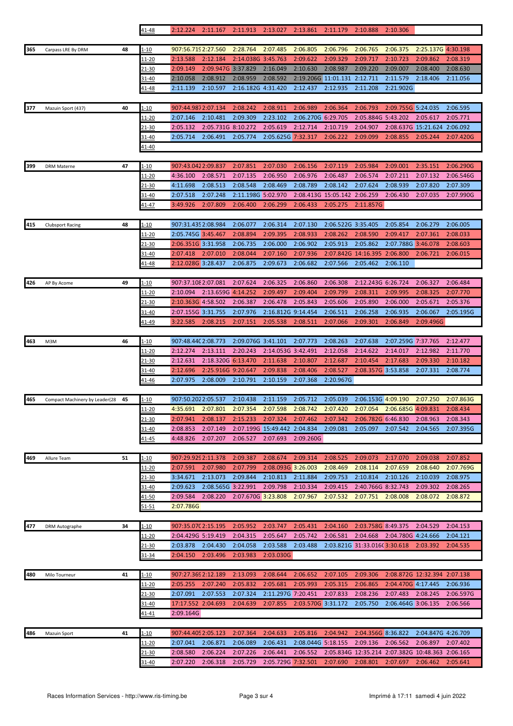|     |                                |    | 41-48                         | 2:12.224                        | 2:11.167                                 |                    | 2:11.913 2:13.027            | 2:13.861                       | 2:11.179                        | 2:10.888                       | 2:10.306             |                                                  |                      |
|-----|--------------------------------|----|-------------------------------|---------------------------------|------------------------------------------|--------------------|------------------------------|--------------------------------|---------------------------------|--------------------------------|----------------------|--------------------------------------------------|----------------------|
|     |                                |    |                               |                                 |                                          |                    |                              |                                |                                 |                                |                      |                                                  |                      |
| 365 | Carpass LRE By DRM             | 48 | 1-10                          | 907:56.719 2:27.560             |                                          | 2:28.764           | 2:07.485                     | 2:06.805                       | 2:06.796                        | 2:06.765                       | 2:06.375             | 2:25.137G 4:30.198                               |                      |
|     |                                |    | 11-20                         | 2:13.588                        | 2:12.184                                 | 2:14.038G 3:45.763 |                              | 2:09.622                       | 2:09.329                        | 2:09.717                       | 2:10.723             | 2:09.862                                         | 2:08.319             |
|     |                                |    | 21-30<br>31-40                | 2:09.149<br>2:10.058            | 2:09.947G 3:37.829<br>2:08.912           | 2:08.959           | 2:16.049<br>2:08.592         | 2:10.630                       | 2:08.987<br>2:19.206G 11:01.131 | 2:09.220<br>2:12.711           | 2:09.007<br>2:11.579 | 2:08.400<br>2:18.406                             | 2:08.630<br>2:11.056 |
|     |                                |    | <u>41-48</u>                  | 2:11.139                        | 2:10.597                                 | 2:16.182G 4:31.420 |                              | 2:12.437                       | 2:12.935                        | 2:11.208                       | 2:21.902G            |                                                  |                      |
|     |                                |    |                               |                                 |                                          |                    |                              |                                |                                 |                                |                      |                                                  |                      |
| 377 | Mazuin Sport (437)             | 40 | 1-10                          | 907:44.9872:07.134              |                                          | 2:08.242           | 2:08.911                     | 2:06.989                       | 2:06.364                        | 2:06.793                       | 2:09.755G 5:24.035   |                                                  | 2:06.595             |
|     |                                |    | 11-20                         | 2:07.146                        | 2:10.481                                 | 2:09.309           | 2:23.102                     | 2:06.270G 6:29.705             |                                 | 2:05.884G 5:43.202             |                      | 2:05.617                                         | 2:05.771             |
|     |                                |    | 21-30                         | 2:05.132                        | 2:05.731G 8:10.272                       |                    | 2:05.619                     | 2:12.714                       | 2:10.719                        | 2:04.907                       |                      | 2:08.637G 15:21.624                              | 2:06.092             |
|     |                                |    | 31-40                         | 2:05.714                        | 2:06.491                                 | 2:05.774           | 2:05.625G 7:32.317           |                                | 2:06.222                        | 2:09.099                       | 2:08.855             | 2:05.244                                         | 2:07.420G            |
|     |                                |    | 41-40                         |                                 |                                          |                    |                              |                                |                                 |                                |                      |                                                  |                      |
|     |                                |    |                               |                                 |                                          |                    |                              |                                |                                 |                                |                      |                                                  |                      |
| 399 | <b>DRM Materne</b>             | 47 | 1-10                          | 907:43.0422:09.837              |                                          | 2:07.851           | 2:07.030                     | 2:06.156                       | 2:07.119                        | 2:05.984                       | 2:09.001             | 2:35.151                                         | 2:06.290G            |
|     |                                |    | 11-20                         | 4:36.100                        | 2:08.571                                 | 2:07.135           | 2:06.950                     | 2:06.976                       | 2:06.487                        | 2:06.574                       | 2:07.211             | 2:07.132                                         | 2:06.546G            |
|     |                                |    | <u>21-30</u>                  | 4:11.698                        | 2:08.513                                 | 2:08.548           | 2:08.469                     | 2:08.789                       | 2:08.142                        | 2:07.624                       | 2:08.939             | 2:07.820                                         | 2:07.309             |
|     |                                |    | 31-40                         | 2:07.518                        | 2:07.248                                 | 2:11.198G 5:02.970 |                              |                                | 2:08.413G 15:05.142 2:06.259    |                                | 2:06.430             | 2:07.035                                         | 2:07.990G            |
|     |                                |    | <u>41-47</u>                  | 3:49.926                        | 2:07.809                                 | 2:06.400           | 2:06.299                     | 2:06.433                       | 2:05.275                        | 2:11.857G                      |                      |                                                  |                      |
|     |                                |    |                               | 907:31.435 2:08.984             |                                          | 2:06.077           |                              | 2:07.130                       | 2:06.522G 3:35.405              |                                | 2:05.854             |                                                  | 2:06.005             |
| 415 | <b>Clubsport Racing</b>        | 48 | 1-10<br>11-20                 | 2:05.745G 3:45.467              |                                          | 2:08.894           | 2:06.314<br>2:09.395         | 2:08.933                       | 2:08.262                        | 2:08.590                       | 2:09.417             | 2:06.279<br>2:07.361                             | 2:08.033             |
|     |                                |    | 21-30                         | 2:06.351G 3:31.958              |                                          | 2:06.735           | 2:06.000                     | 2:06.902                       | 2:05.913                        | 2:05.862                       | 2:07.788G 3:46.078   |                                                  | 2:08.603             |
|     |                                |    | 31-40                         | 2:07.418                        | 2:07.010                                 | 2:08.044           | 2:07.160                     | 2:07.936                       |                                 | 2:07.842G 14:16.395            | 2:06.800             | 2:06.721                                         | 2:06.015             |
|     |                                |    | 41-48                         | 2:12.028G 3:28.437              |                                          | 2:06.875           | 2:09.673                     | 2:06.682                       | 2:07.566                        | 2:05.462                       | 2:06.110             |                                                  |                      |
|     |                                |    |                               |                                 |                                          |                    |                              |                                |                                 |                                |                      |                                                  |                      |
| 426 | AP By Acome                    | 49 | $1 - 10$                      | 907:37.108 2:07.081             |                                          | 2:07.624           | 2:06.325                     | 2:06.860                       | 2:06.308                        | 2:12.243G 6:26.724             |                      | 2:06.327                                         | 2:06.484             |
|     |                                |    | <u> 11-20</u>                 | 2:10.094                        | 2:13.659G 4:14.252                       |                    | 2:09.497                     | 2:09.404                       | 2:09.799                        | 2:08.311                       | 2:09.995             | 2:08.325                                         | 2:07.770             |
|     |                                |    | 21-30                         | 2:10.363G 4:58.502              |                                          | 2:06.387           | 2:06.478                     | 2:05.843                       | 2:05.606                        | 2:05.890                       | 2:06.000             | 2:05.671                                         | 2:05.376             |
|     |                                |    | 31-40                         | 2:07.155G 3:31.755              |                                          | 2:07.976           | 2:16.812G 9:14.454           |                                | 2:06.511                        | 2:06.258                       | 2:06.935             | 2:06.067                                         | 2:05.195G            |
|     |                                |    | <u>41-49</u>                  | 3:22.585                        | 2:08.215                                 | 2:07.151           | 2:05.538                     | 2:08.511                       | 2:07.066                        | 2:09.301                       | 2:06.849             | 2:09.496G                                        |                      |
|     |                                |    |                               |                                 |                                          |                    |                              |                                |                                 |                                |                      |                                                  |                      |
| 463 | M3M                            | 46 | $1 - 10$                      | 907:48.440 2:08.773             |                                          | 2:09.076G 3:41.101 |                              | 2:07.773                       | 2:08.263                        | 2:07.638                       | 2:07.259G 7:37.765   |                                                  | 2:12.477             |
|     |                                |    | 11-20                         | 2:12.274                        | 2:13.111                                 | 2:20.243           | 2:14.053G 3:42.491           |                                | 2:12.058                        | 2:14.622                       | 2:14.017             | 2:12.982                                         | 2:11.770             |
|     |                                |    | 21-30                         | 2:12.631<br>2:12.696            | 2:18.320G 6:13.470<br>2:25.916G 9:20.647 |                    | 2:11.638<br>2:09.838         | 2:10.807<br>2:08.406           | 2:12.687<br>2:08.527            | 2:10.454<br>2:08.357G 3:53.858 | 2:17.683             | 2:09.330<br>2:07.331                             | 2:10.182<br>2:08.774 |
|     |                                |    | 31-40<br>41-46                | 2:07.975                        | 2:08.009                                 | 2:10.791           | 2:10.159                     | 2:07.368                       | 2:20.967G                       |                                |                      |                                                  |                      |
|     |                                |    |                               |                                 |                                          |                    |                              |                                |                                 |                                |                      |                                                  |                      |
| 465 | Compact Machinery by Leader(28 | 45 | <u>1-10</u>                   | 907:50.2022:05.537              |                                          | 2:10.438           | 2:11.159                     | 2:05.712                       | 2:05.039                        | 2:06.153G 4:09.190             |                      | 2:07.250                                         | 2:07.863G            |
|     |                                |    | $11 - 20$                     | 4:35.691                        | 2:07.801                                 | 2:07.354           | 2:07.598                     | 2:08.742                       | 2:07.420                        | 2:07.054                       | 2:06.685G 4:09.831   |                                                  | 2:08.434             |
|     |                                |    | 21-30                         | 2:07.941                        | 2:08.137                                 | 2:15.233 2:07.324  |                              | 2:07.462                       | 2:07.342                        | 2:06.782G 6:46.830             |                      | 2:08.963                                         | 2:08.343             |
|     |                                |    | 31-40                         | 2:08.853                        | 2:07.149                                 |                    | 2:07.199G 15:49.442 2:04.834 |                                | 2:09.081                        | 2:05.097                       | 2:07.542             | 2:04.565                                         | 2:07.395G            |
|     |                                |    | 41-45                         | 4:48.826                        | 2:07.207                                 | 2:06.527           | 2:07.693                     | 2:09.260G                      |                                 |                                |                      |                                                  |                      |
|     |                                |    |                               |                                 |                                          |                    |                              |                                |                                 |                                |                      |                                                  |                      |
| 469 | Allure Team                    | 51 | <u>1-10</u>                   | 907:29.929 2:11.378             |                                          | 2:09.387           | 2:08.674                     | 2:09.314                       | 2:08.525                        | 2:09.073                       | 2:17.070             | 2:09.038                                         | 2:07.852             |
|     |                                |    | 11-20                         | 2:07.591                        | 2:07.980                                 | 2:07.799           | 2:08.093G 3:26.003           |                                | 2:08.469                        | 2:08.114                       | 2:07.659             | 2:08.640                                         | 2:07.769G            |
|     |                                |    | 21-30                         | 3:34.671                        | 2:13.073                                 | 2:09.844           | 2:10.813                     | 2:11.884                       | 2:09.753                        | 2:10.814                       | 2:10.126             | 2:10.039                                         | 2:08.975             |
|     |                                |    | 31-40                         | 2:09.623                        | 2:08.565G 3:22.991                       |                    | 2:09.798                     | 2:10.334                       | 2:09.415                        | 2:40.766G 8:32.743             |                      | 2:09.302                                         | 2:08.265             |
|     |                                |    | 41-50                         | 2:09.584                        | 2:08.220                                 | 2:07.670G 3:23.808 |                              | 2:07.967                       | 2:07.532                        | 2:07.751                       | 2:08.008             | 2:08.072                                         | 2:08.872             |
|     |                                |    | 51-51                         | 2:07.786G                       |                                          |                    |                              |                                |                                 |                                |                      |                                                  |                      |
| 477 | DRM Autographe                 | 34 | $1 - 10$                      | 907:35.070 2:15.195             |                                          | 2:05.952           | 2:03.747                     | 2:05.431                       | 2:04.160                        | 2:03.758G 8:49.375             |                      | 2:04.529                                         | 2:04.153             |
|     |                                |    | <u> 11-20</u>                 | 2:04.429G 5:19.419              |                                          | 2:04.315           | 2:05.647                     | 2:05.742                       | 2:06.581                        | 2:04.668                       | 2:04.780G 4:24.666   |                                                  | 2:04.121             |
|     |                                |    | 21-30                         | 2:03.878                        | 2:04.430                                 | 2:04.058           | 2:03.588                     | 2:03.488                       |                                 | 2:03.821G 31:33.016(3:30.618   |                      | 2:03.392                                         | 2:04.535             |
|     |                                |    | 31-34                         | 2:04.150                        | 2:03.496                                 | 2:03.983           | 2:03.030G                    |                                |                                 |                                |                      |                                                  |                      |
|     |                                |    |                               |                                 |                                          |                    |                              |                                |                                 |                                |                      |                                                  |                      |
| 480 | Milo Tourneur                  | 41 | 1-10                          | 907:27.369 2:12.189             |                                          | 2:13.093           | 2:08.644                     | 2:06.652                       | 2:07.105                        | 2:09.306                       |                      | 2:08.872G 12:32.394 2:07.138                     |                      |
|     |                                |    | 11-20                         | 2:05.255                        | 2:07.240                                 | 2:05.832           | 2:05.681                     | 2:05.993                       | 2:05.315                        | 2:06.865                       | 2:04.470G 4:17.445   |                                                  | 2:06.936             |
|     |                                |    | 21-30                         | 2:07.091                        | 2:07.553                                 | 2:07.324           | 2:11.297G 7:20.451           |                                | 2:07.833                        | 2:08.236                       | 2:07.483 2:08.245    |                                                  | 2:06.597G            |
|     |                                |    | 31-40                         | 17:17.552 2:04.693              |                                          | 2:04.639           | 2:07.855                     | 2:03.570G 3:31.172             |                                 | 2:05.750                       | 2:06.464G 3:06.135   |                                                  | 2:06.566             |
|     |                                |    | <u>41-41</u>                  | 2:09.164G                       |                                          |                    |                              |                                |                                 |                                |                      |                                                  |                      |
|     |                                |    |                               |                                 |                                          | 2:07.364           |                              |                                |                                 |                                |                      |                                                  |                      |
| 486 | <b>Mazuin Sport</b>            | 41 | $1 - 10$                      | 907:44.405 2:05.123<br>2:07.041 | 2:06.871                                 | 2:06.089           | 2:04.633<br>2:06.431         | 2:05.816<br>2:08.044G 5:18.155 | 2:04.942                        | 2:04.356G 8:36.822<br>2:09.136 | 2:06.562             | 2:04.847G 4:26.709<br>2:06.897                   |                      |
|     |                                |    | <u> 11-20</u><br><u>21-30</u> | 2:08.580                        | 2:06.224                                 | 2:07.226           | 2:06.441                     | 2:06.552                       |                                 |                                |                      | 2:05.834G 12:35.214 2:07.382G 10:48.363 2:06.165 | 2:07.402             |
|     |                                |    | 31-40                         | 2:07.220                        | 2:06.318                                 | 2:05.729           | 2:05.729G 7:32.501           |                                | 2:07.690                        | 2:08.801                       | 2:07.697             | 2:06.462                                         | 2:05.641             |
|     |                                |    |                               |                                 |                                          |                    |                              |                                |                                 |                                |                      |                                                  |                      |